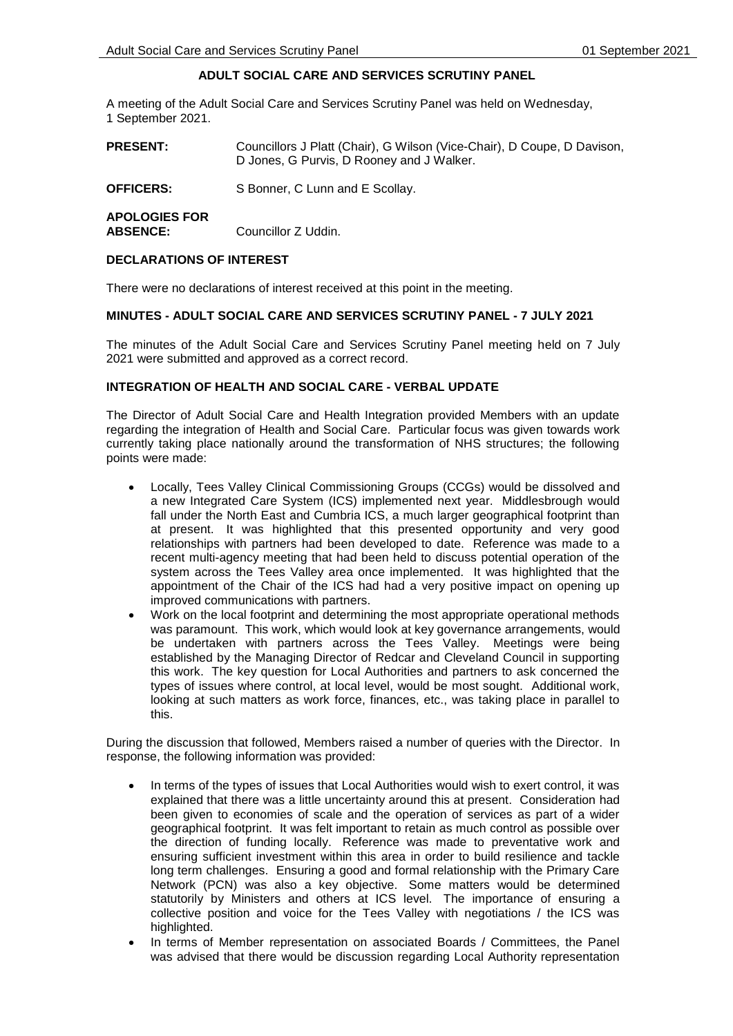## **ADULT SOCIAL CARE AND SERVICES SCRUTINY PANEL**

A meeting of the Adult Social Care and Services Scrutiny Panel was held on Wednesday, 1 September 2021.

| <b>PRESENT:</b>                         | Councillors J Platt (Chair), G Wilson (Vice-Chair), D Coupe, D Davison,<br>D Jones, G Purvis, D Rooney and J Walker. |
|-----------------------------------------|----------------------------------------------------------------------------------------------------------------------|
| <b>OFFICERS:</b>                        | S Bonner, C Lunn and E Scollay.                                                                                      |
| <b>APOLOGIES FOR</b><br><b>ABSENCE:</b> | Councillor Z Uddin.                                                                                                  |

#### **DECLARATIONS OF INTEREST**

There were no declarations of interest received at this point in the meeting.

#### **MINUTES - ADULT SOCIAL CARE AND SERVICES SCRUTINY PANEL - 7 JULY 2021**

The minutes of the Adult Social Care and Services Scrutiny Panel meeting held on 7 July 2021 were submitted and approved as a correct record.

#### **INTEGRATION OF HEALTH AND SOCIAL CARE - VERBAL UPDATE**

The Director of Adult Social Care and Health Integration provided Members with an update regarding the integration of Health and Social Care. Particular focus was given towards work currently taking place nationally around the transformation of NHS structures; the following points were made:

- Locally, Tees Valley Clinical Commissioning Groups (CCGs) would be dissolved and a new Integrated Care System (ICS) implemented next year. Middlesbrough would fall under the North East and Cumbria ICS, a much larger geographical footprint than at present. It was highlighted that this presented opportunity and very good relationships with partners had been developed to date. Reference was made to a recent multi-agency meeting that had been held to discuss potential operation of the system across the Tees Valley area once implemented. It was highlighted that the appointment of the Chair of the ICS had had a very positive impact on opening up improved communications with partners.
- Work on the local footprint and determining the most appropriate operational methods was paramount. This work, which would look at key governance arrangements, would be undertaken with partners across the Tees Valley. Meetings were being established by the Managing Director of Redcar and Cleveland Council in supporting this work. The key question for Local Authorities and partners to ask concerned the types of issues where control, at local level, would be most sought. Additional work, looking at such matters as work force, finances, etc., was taking place in parallel to this.

During the discussion that followed, Members raised a number of queries with the Director. In response, the following information was provided:

- In terms of the types of issues that Local Authorities would wish to exert control, it was explained that there was a little uncertainty around this at present. Consideration had been given to economies of scale and the operation of services as part of a wider geographical footprint. It was felt important to retain as much control as possible over the direction of funding locally. Reference was made to preventative work and ensuring sufficient investment within this area in order to build resilience and tackle long term challenges. Ensuring a good and formal relationship with the Primary Care Network (PCN) was also a key objective. Some matters would be determined statutorily by Ministers and others at ICS level. The importance of ensuring a collective position and voice for the Tees Valley with negotiations / the ICS was highlighted.
- In terms of Member representation on associated Boards / Committees, the Panel was advised that there would be discussion regarding Local Authority representation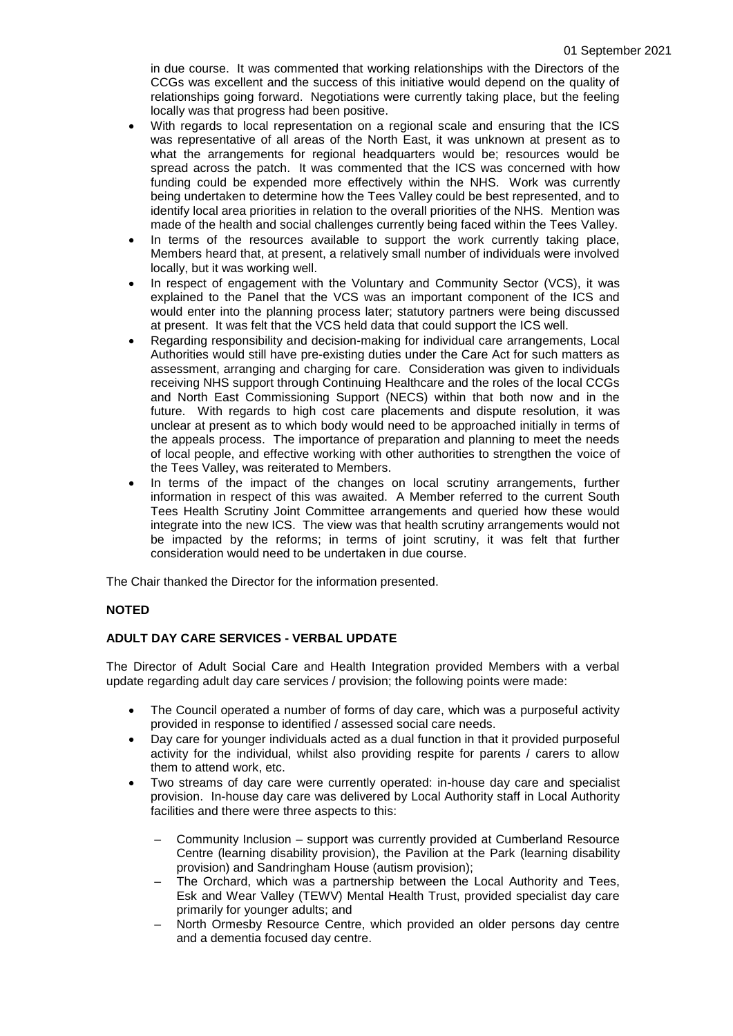in due course. It was commented that working relationships with the Directors of the CCGs was excellent and the success of this initiative would depend on the quality of relationships going forward. Negotiations were currently taking place, but the feeling locally was that progress had been positive.

- With regards to local representation on a regional scale and ensuring that the ICS was representative of all areas of the North East, it was unknown at present as to what the arrangements for regional headquarters would be; resources would be spread across the patch. It was commented that the ICS was concerned with how funding could be expended more effectively within the NHS. Work was currently being undertaken to determine how the Tees Valley could be best represented, and to identify local area priorities in relation to the overall priorities of the NHS. Mention was made of the health and social challenges currently being faced within the Tees Valley.
- In terms of the resources available to support the work currently taking place, Members heard that, at present, a relatively small number of individuals were involved locally, but it was working well.
- In respect of engagement with the Voluntary and Community Sector (VCS), it was explained to the Panel that the VCS was an important component of the ICS and would enter into the planning process later; statutory partners were being discussed at present. It was felt that the VCS held data that could support the ICS well.
- Regarding responsibility and decision-making for individual care arrangements, Local Authorities would still have pre-existing duties under the Care Act for such matters as assessment, arranging and charging for care. Consideration was given to individuals receiving NHS support through Continuing Healthcare and the roles of the local CCGs and North East Commissioning Support (NECS) within that both now and in the future. With regards to high cost care placements and dispute resolution, it was unclear at present as to which body would need to be approached initially in terms of the appeals process. The importance of preparation and planning to meet the needs of local people, and effective working with other authorities to strengthen the voice of the Tees Valley, was reiterated to Members.
- In terms of the impact of the changes on local scrutiny arrangements, further information in respect of this was awaited. A Member referred to the current South Tees Health Scrutiny Joint Committee arrangements and queried how these would integrate into the new ICS. The view was that health scrutiny arrangements would not be impacted by the reforms; in terms of joint scrutiny, it was felt that further consideration would need to be undertaken in due course.

The Chair thanked the Director for the information presented.

## **NOTED**

## **ADULT DAY CARE SERVICES - VERBAL UPDATE**

The Director of Adult Social Care and Health Integration provided Members with a verbal update regarding adult day care services / provision; the following points were made:

- The Council operated a number of forms of day care, which was a purposeful activity provided in response to identified / assessed social care needs.
- Day care for younger individuals acted as a dual function in that it provided purposeful activity for the individual, whilst also providing respite for parents / carers to allow them to attend work, etc.
- Two streams of day care were currently operated: in-house day care and specialist provision. In-house day care was delivered by Local Authority staff in Local Authority facilities and there were three aspects to this:
	- Community Inclusion support was currently provided at Cumberland Resource Centre (learning disability provision), the Pavilion at the Park (learning disability provision) and Sandringham House (autism provision);
	- The Orchard, which was a partnership between the Local Authority and Tees, Esk and Wear Valley (TEWV) Mental Health Trust, provided specialist day care primarily for younger adults; and
	- North Ormesby Resource Centre, which provided an older persons day centre and a dementia focused day centre.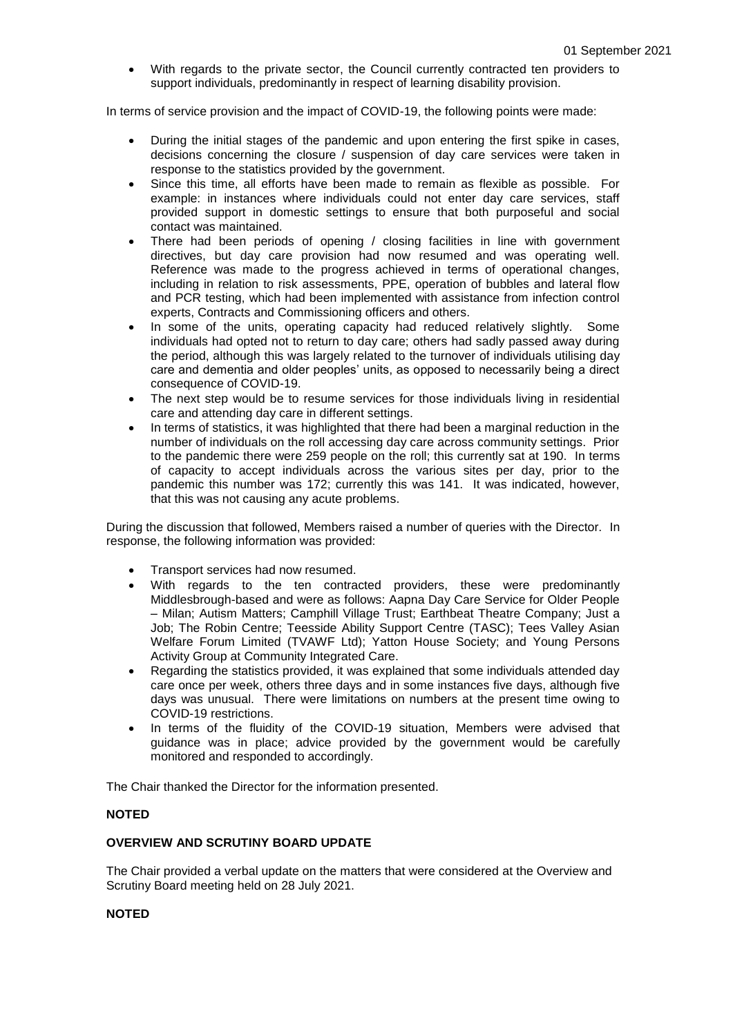With regards to the private sector, the Council currently contracted ten providers to support individuals, predominantly in respect of learning disability provision.

In terms of service provision and the impact of COVID-19, the following points were made:

- During the initial stages of the pandemic and upon entering the first spike in cases, decisions concerning the closure / suspension of day care services were taken in response to the statistics provided by the government.
- Since this time, all efforts have been made to remain as flexible as possible. For example: in instances where individuals could not enter day care services, staff provided support in domestic settings to ensure that both purposeful and social contact was maintained.
- There had been periods of opening / closing facilities in line with government directives, but day care provision had now resumed and was operating well. Reference was made to the progress achieved in terms of operational changes, including in relation to risk assessments, PPE, operation of bubbles and lateral flow and PCR testing, which had been implemented with assistance from infection control experts, Contracts and Commissioning officers and others.
- In some of the units, operating capacity had reduced relatively slightly. Some individuals had opted not to return to day care; others had sadly passed away during the period, although this was largely related to the turnover of individuals utilising day care and dementia and older peoples' units, as opposed to necessarily being a direct consequence of COVID-19.
- The next step would be to resume services for those individuals living in residential care and attending day care in different settings.
- In terms of statistics, it was highlighted that there had been a marginal reduction in the number of individuals on the roll accessing day care across community settings. Prior to the pandemic there were 259 people on the roll; this currently sat at 190. In terms of capacity to accept individuals across the various sites per day, prior to the pandemic this number was 172; currently this was 141. It was indicated, however, that this was not causing any acute problems.

During the discussion that followed, Members raised a number of queries with the Director. In response, the following information was provided:

- Transport services had now resumed.
- With regards to the ten contracted providers, these were predominantly Middlesbrough-based and were as follows: Aapna Day Care Service for Older People – Milan; Autism Matters; Camphill Village Trust; Earthbeat Theatre Company; Just a Job; The Robin Centre; Teesside Ability Support Centre (TASC); Tees Valley Asian Welfare Forum Limited (TVAWF Ltd); Yatton House Society; and Young Persons Activity Group at Community Integrated Care.
- Regarding the statistics provided, it was explained that some individuals attended day care once per week, others three days and in some instances five days, although five days was unusual. There were limitations on numbers at the present time owing to COVID-19 restrictions.
- In terms of the fluidity of the COVID-19 situation, Members were advised that guidance was in place; advice provided by the government would be carefully monitored and responded to accordingly.

The Chair thanked the Director for the information presented.

## **NOTED**

## **OVERVIEW AND SCRUTINY BOARD UPDATE**

The Chair provided a verbal update on the matters that were considered at the Overview and Scrutiny Board meeting held on 28 July 2021.

#### **NOTED**